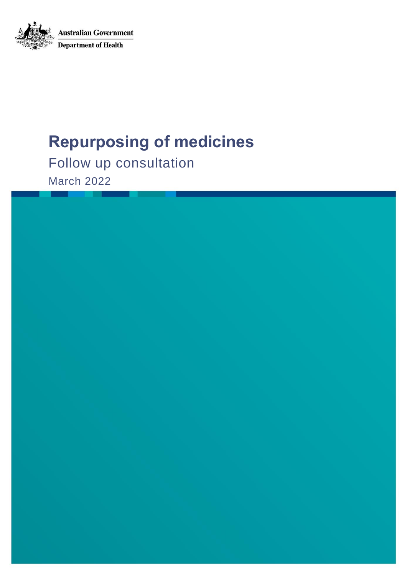

# **Repurposing of medicines**

Follow up consultation March 2022

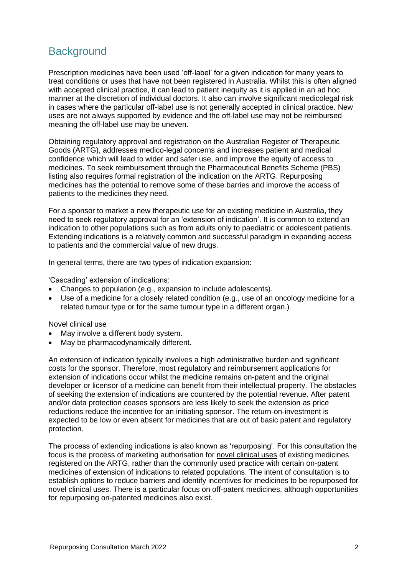# **Background**

Prescription medicines have been used 'off-label' for a given indication for many years to treat conditions or uses that have not been registered in Australia. Whilst this is often aligned with accepted clinical practice, it can lead to patient inequity as it is applied in an ad hoc manner at the discretion of individual doctors. It also can involve significant medicolegal risk in cases where the particular off-label use is not generally accepted in clinical practice. New uses are not always supported by evidence and the off-label use may not be reimbursed meaning the off-label use may be uneven.

Obtaining regulatory approval and registration on the Australian Register of Therapeutic Goods (ARTG), addresses medico-legal concerns and increases patient and medical confidence which will lead to wider and safer use, and improve the equity of access to medicines. To seek reimbursement through the Pharmaceutical Benefits Scheme (PBS) listing also requires formal registration of the indication on the ARTG. Repurposing medicines has the potential to remove some of these barries and improve the access of patients to the medicines they need.

For a sponsor to market a new therapeutic use for an existing medicine in Australia, they need to seek regulatory approval for an 'extension of indication'. It is common to extend an indication to other populations such as from adults only to paediatric or adolescent patients. Extending indications is a relatively common and successful paradigm in expanding access to patients and the commercial value of new drugs.

In general terms, there are two types of indication expansion:

'Cascading' extension of indications:

- Changes to population (e.g., expansion to include adolescents).
- Use of a medicine for a closely related condition (e.g., use of an oncology medicine for a related tumour type or for the same tumour type in a different organ.)

#### Novel clinical use

- May involve a different body system.
- May be pharmacodynamically different.

An extension of indication typically involves a high administrative burden and significant costs for the sponsor. Therefore, most regulatory and reimbursement applications for extension of indications occur whilst the medicine remains on-patent and the original developer or licensor of a medicine can benefit from their intellectual property. The obstacles of seeking the extension of indications are countered by the potential revenue. After patent and/or data protection ceases sponsors are less likely to seek the extension as price reductions reduce the incentive for an initiating sponsor. The return-on-investment is expected to be low or even absent for medicines that are out of basic patent and regulatory protection.

The process of extending indications is also known as 'repurposing'. For this consultation the focus is the process of marketing authorisation for novel clinical uses of existing medicines registered on the ARTG, rather than the commonly used practice with certain on-patent medicines of extension of indications to related populations. The intent of consultation is to establish options to reduce barriers and identify incentives for medicines to be repurposed for novel clinical uses. There is a particular focus on off-patent medicines, although opportunities for repurposing on-patented medicines also exist.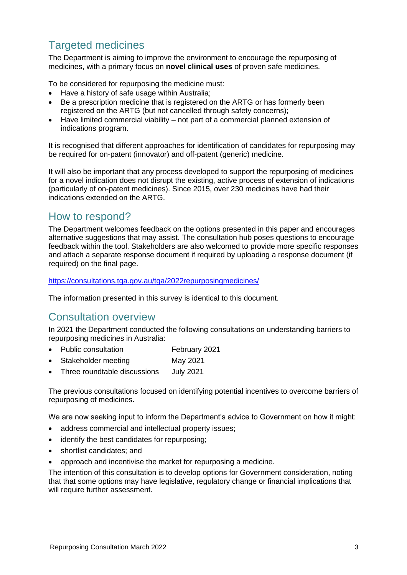# Targeted medicines

The Department is aiming to improve the environment to encourage the repurposing of medicines, with a primary focus on **novel clinical uses** of proven safe medicines.

To be considered for repurposing the medicine must:

- Have a history of safe usage within Australia;
- Be a prescription medicine that is registered on the ARTG or has formerly been registered on the ARTG (but not cancelled through safety concerns);
- Have limited commercial viability not part of a commercial planned extension of indications program.

It is recognised that different approaches for identification of candidates for repurposing may be required for on-patent (innovator) and off-patent (generic) medicine.

It will also be important that any process developed to support the repurposing of medicines for a novel indication does not disrupt the existing, active process of extension of indications (particularly of on-patent medicines). Since 2015, over 230 medicines have had their indications extended on the ARTG.

# How to respond?

The Department welcomes feedback on the options presented in this paper and encourages alternative suggestions that may assist. The consultation hub poses questions to encourage feedback within the tool. Stakeholders are also welcomed to provide more specific responses and attach a separate response document if required by uploading a response document (if required) on the final page.

<https://consultations.tga.gov.au/tga/2022repurposingmedicines/>

The information presented in this survey is identical to this document.

# Consultation overview

In 2021 the Department conducted the following consultations on understanding barriers to repurposing medicines in Australia:

- Public consultation February 2021
- Stakeholder meeting May 2021
- Three roundtable discussions July 2021

The previous consultations focused on identifying potential incentives to overcome barriers of repurposing of medicines.

We are now seeking input to inform the Department's advice to Government on how it might:

- address commercial and intellectual property issues;
- identify the best candidates for repurposing;
- shortlist candidates; and
- approach and incentivise the market for repurposing a medicine.

The intention of this consultation is to develop options for Government consideration, noting that that some options may have legislative, regulatory change or financial implications that will require further assessment.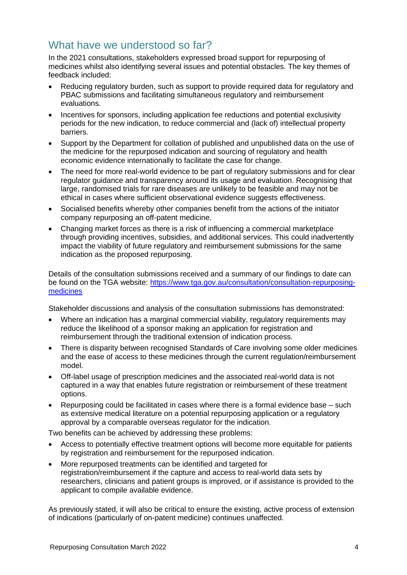# What have we understood so far?

In the 2021 consultations, stakeholders expressed broad support for repurposing of medicines whilst also identifying several issues and potential obstacles. The key themes of feedback included:

- Reducing regulatory burden, such as support to provide required data for regulatory and PBAC submissions and facilitating simultaneous regulatory and reimbursement evaluations.
- Incentives for sponsors, including application fee reductions and potential exclusivity periods for the new indication, to reduce commercial and (lack of) intellectual property barriers.
- Support by the Department for collation of published and unpublished data on the use of the medicine for the repurposed indication and sourcing of regulatory and health economic evidence internationally to facilitate the case for change.
- The need for more real-world evidence to be part of regulatory submissions and for clear regulator guidance and transparency around its usage and evaluation. Recognising that large, randomised trials for rare diseases are unlikely to be feasible and may not be ethical in cases where sufficient observational evidence suggests effectiveness.
- Socialised benefits whereby other companies benefit from the actions of the initiator company repurposing an off-patent medicine.
- Changing market forces as there is a risk of influencing a commercial marketplace through providing incentives, subsidies, and additional services. This could inadvertently impact the viability of future regulatory and reimbursement submissions for the same indication as the proposed repurposing.

Details of the consultation submissions received and a summary of our findings to date can be found on the TGA website: [https://www.tga.gov.au/consultation/consultation-repurposing](https://www.tga.gov.au/consultation/consultation-repurposing-medicines)[medicines](https://www.tga.gov.au/consultation/consultation-repurposing-medicines)

Stakeholder discussions and analysis of the consultation submissions has demonstrated:

- Where an indication has a marginal commercial viability, regulatory requirements may reduce the likelihood of a sponsor making an application for registration and reimbursement through the traditional extension of indication process.
- There is disparity between recognised Standards of Care involving some older medicines and the ease of access to these medicines through the current regulation/reimbursement model.
- Off-label usage of prescription medicines and the associated real-world data is not captured in a way that enables future registration or reimbursement of these treatment options.
- Repurposing could be facilitated in cases where there is a formal evidence base such as extensive medical literature on a potential repurposing application or a regulatory approval by a comparable overseas regulator for the indication.

Two benefits can be achieved by addressing these problems:

- Access to potentially effective treatment options will become more equitable for patients by registration and reimbursement for the repurposed indication.
- More repurposed treatments can be identified and targeted for registration/reimbursement if the capture and access to real-world data sets by researchers, clinicians and patient groups is improved, or if assistance is provided to the applicant to compile available evidence.

As previously stated, it will also be critical to ensure the existing, active process of extension of indications (particularly of on-patent medicine) continues unaffected.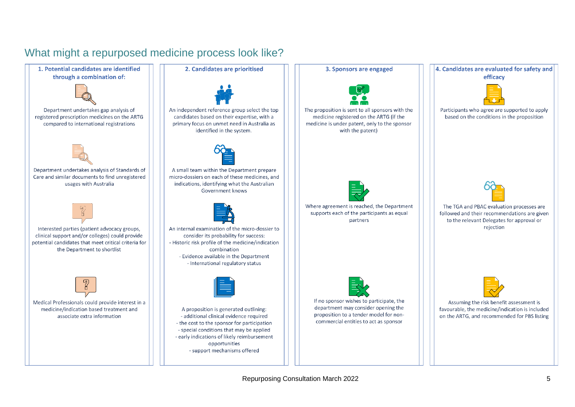# What might a repurposed medicine process look like?



#### 2. Candidates are prioritised



An independent reference group select the top candidates based on their expertise, with a primary focus on unmet need in Australia as identified in the system.



A small team within the Department prepare micro-dossiers on each of these medicines, and indications, identifying what the Australian Government knows



An internal examination of the micro-dossier to consider its probability for success: - Historic risk profile of the medicine/indication combination - Evidence available in the Department - International regulatory status



A proposition is generated outlining: - additional clinical evidence required - the cost to the sponsor for participation - special conditions that may be applied - early indications of likely reimbursement opportunities - support mechanisms offered

3. Sponsors are engaged



The proposition is sent to all sponsors with the medicine registered on the ARTG (if the medicine is under patent, only to the sponsor with the patent)



Where agreement is reached, the Department supports each of the participants as equal partners



If no sponsor wishes to participate, the department may consider opening the proposition to a tender model for noncommercial entities to act as sponsor

#### 4. Candidates are evaluated for safety and efficacy



Participants who agree are supported to apply based on the conditions in the proposition



The TGA and PBAC evaluation processes are followed and their recommendations are given to the relevant Delegates for approval or rejection



Assuming the risk benefit assessment is favourable, the medicine/indication is included on the ARTG, and recommended for PBS listing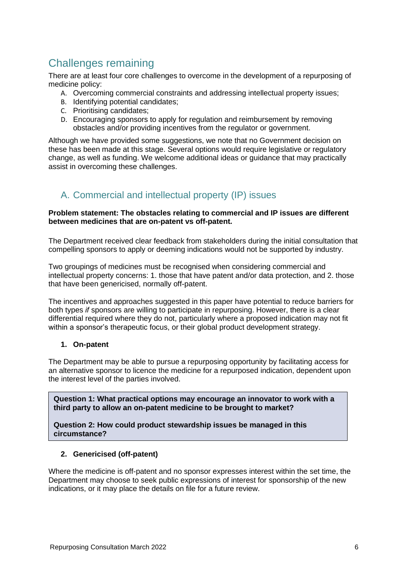# Challenges remaining

There are at least four core challenges to overcome in the development of a repurposing of medicine policy:

- A. Overcoming commercial constraints and addressing intellectual property issues;
- B. Identifying potential candidates;
- C. Prioritising candidates;
- D. Encouraging sponsors to apply for regulation and reimbursement by removing obstacles and/or providing incentives from the regulator or government.

Although we have provided some suggestions, we note that no Government decision on these has been made at this stage. Several options would require legislative or regulatory change, as well as funding. We welcome additional ideas or guidance that may practically assist in overcoming these challenges.

# A. Commercial and intellectual property (IP) issues

#### **Problem statement: The obstacles relating to commercial and IP issues are different between medicines that are on-patent vs off-patent.**

The Department received clear feedback from stakeholders during the initial consultation that compelling sponsors to apply or deeming indications would not be supported by industry.

Two groupings of medicines must be recognised when considering commercial and intellectual property concerns: 1. those that have patent and/or data protection, and 2. those that have been genericised, normally off-patent.

The incentives and approaches suggested in this paper have potential to reduce barriers for both types *if* sponsors are willing to participate in repurposing. However, there is a clear differential required where they do not, particularly where a proposed indication may not fit within a sponsor's therapeutic focus, or their global product development strategy.

#### **1. On-patent**

The Department may be able to pursue a repurposing opportunity by facilitating access for an alternative sponsor to licence the medicine for a repurposed indication, dependent upon the interest level of the parties involved.

**Question 1: What practical options may encourage an innovator to work with a third party to allow an on-patent medicine to be brought to market?**

**Question 2: How could product stewardship issues be managed in this circumstance?**

#### **2. Genericised (off-patent)**

Where the medicine is off-patent and no sponsor expresses interest within the set time, the Department may choose to seek public expressions of interest for sponsorship of the new indications, or it may place the details on file for a future review.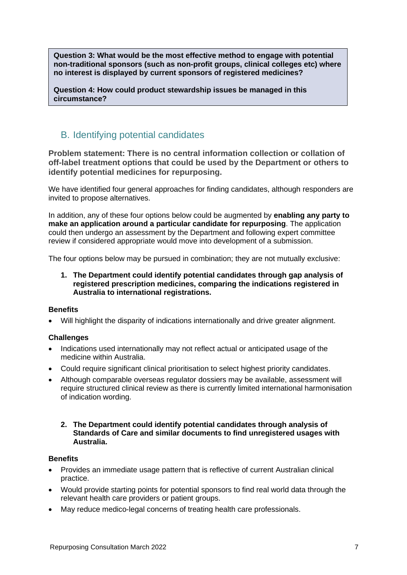**Question 3: What would be the most effective method to engage with potential non-traditional sponsors (such as non-profit groups, clinical colleges etc) where no interest is displayed by current sponsors of registered medicines?** 

**Question 4: How could product stewardship issues be managed in this circumstance?**

### B. Identifying potential candidates

**Problem statement: There is no central information collection or collation of off-label treatment options that could be used by the Department or others to identify potential medicines for repurposing.**

We have identified four general approaches for finding candidates, although responders are invited to propose alternatives.

In addition, any of these four options below could be augmented by **enabling any party to make an application around a particular candidate for repurposing**. The application could then undergo an assessment by the Department and following expert committee review if considered appropriate would move into development of a submission.

The four options below may be pursued in combination; they are not mutually exclusive:

**1. The Department could identify potential candidates through gap analysis of registered prescription medicines, comparing the indications registered in Australia to international registrations.**

#### **Benefits**

• Will highlight the disparity of indications internationally and drive greater alignment.

#### **Challenges**

- Indications used internationally may not reflect actual or anticipated usage of the medicine within Australia.
- Could require significant clinical prioritisation to select highest priority candidates.
- Although comparable overseas regulator dossiers may be available, assessment will require structured clinical review as there is currently limited international harmonisation of indication wording.
	- **2. The Department could identify potential candidates through analysis of Standards of Care and similar documents to find unregistered usages with Australia.**

#### **Benefits**

- Provides an immediate usage pattern that is reflective of current Australian clinical practice.
- Would provide starting points for potential sponsors to find real world data through the relevant health care providers or patient groups.
- May reduce medico-legal concerns of treating health care professionals.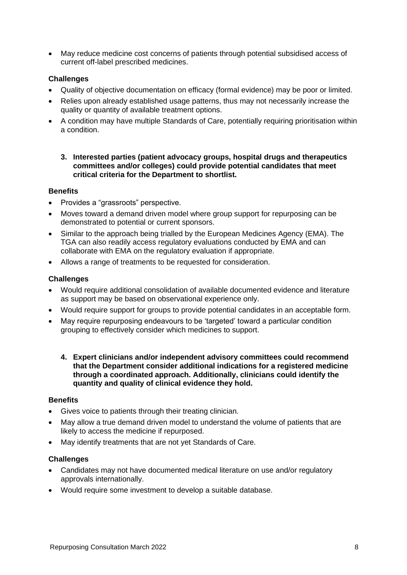• May reduce medicine cost concerns of patients through potential subsidised access of current off-label prescribed medicines.

#### **Challenges**

- Quality of objective documentation on efficacy (formal evidence) may be poor or limited.
- Relies upon already established usage patterns, thus may not necessarily increase the quality or quantity of available treatment options.
- A condition may have multiple Standards of Care, potentially requiring prioritisation within a condition.
	- **3. Interested parties (patient advocacy groups, hospital drugs and therapeutics committees and/or colleges) could provide potential candidates that meet critical criteria for the Department to shortlist.**

#### **Benefits**

- Provides a "grassroots" perspective.
- Moves toward a demand driven model where group support for repurposing can be demonstrated to potential or current sponsors.
- Similar to the approach being trialled by the European Medicines Agency (EMA). The TGA can also readily access regulatory evaluations conducted by EMA and can collaborate with EMA on the regulatory evaluation if appropriate.
- Allows a range of treatments to be requested for consideration.

#### **Challenges**

- Would require additional consolidation of available documented evidence and literature as support may be based on observational experience only.
- Would require support for groups to provide potential candidates in an acceptable form.
- May require repurposing endeavours to be 'targeted' toward a particular condition grouping to effectively consider which medicines to support.
	- **4. Expert clinicians and/or independent advisory committees could recommend that the Department consider additional indications for a registered medicine through a coordinated approach. Additionally, clinicians could identify the quantity and quality of clinical evidence they hold.**

#### **Benefits**

- Gives voice to patients through their treating clinician.
- May allow a true demand driven model to understand the volume of patients that are likely to access the medicine if repurposed.
- May identify treatments that are not yet Standards of Care.

#### **Challenges**

- Candidates may not have documented medical literature on use and/or regulatory approvals internationally.
- Would require some investment to develop a suitable database.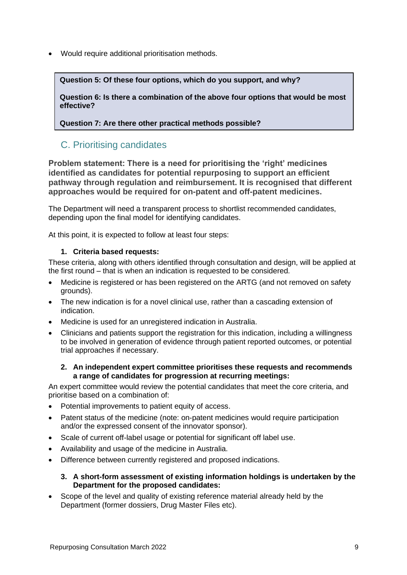• Would require additional prioritisation methods.

**Question 5: Of these four options, which do you support, and why?**

**Question 6: Is there a combination of the above four options that would be most effective?**

**Question 7: Are there other practical methods possible?**

### C. Prioritising candidates

**Problem statement: There is a need for prioritising the 'right' medicines identified as candidates for potential repurposing to support an efficient pathway through regulation and reimbursement. It is recognised that different approaches would be required for on-patent and off-patent medicines.**

The Department will need a transparent process to shortlist recommended candidates, depending upon the final model for identifying candidates.

At this point, it is expected to follow at least four steps:

#### **1. Criteria based requests:**

These criteria, along with others identified through consultation and design, will be applied at the first round – that is when an indication is requested to be considered.

- Medicine is registered or has been registered on the ARTG (and not removed on safety grounds).
- The new indication is for a novel clinical use, rather than a cascading extension of indication.
- Medicine is used for an unregistered indication in Australia.
- Clinicians and patients support the registration for this indication, including a willingness to be involved in generation of evidence through patient reported outcomes, or potential trial approaches if necessary.

#### **2. An independent expert committee prioritises these requests and recommends a range of candidates for progression at recurring meetings:**

An expert committee would review the potential candidates that meet the core criteria, and prioritise based on a combination of:

- Potential improvements to patient equity of access.
- Patent status of the medicine (note: on-patent medicines would require participation and/or the expressed consent of the innovator sponsor).
- Scale of current off-label usage or potential for significant off label use.
- Availability and usage of the medicine in Australia.
- Difference between currently registered and proposed indications.

#### **3. A short-form assessment of existing information holdings is undertaken by the Department for the proposed candidates:**

Scope of the level and quality of existing reference material already held by the Department (former dossiers, Drug Master Files etc).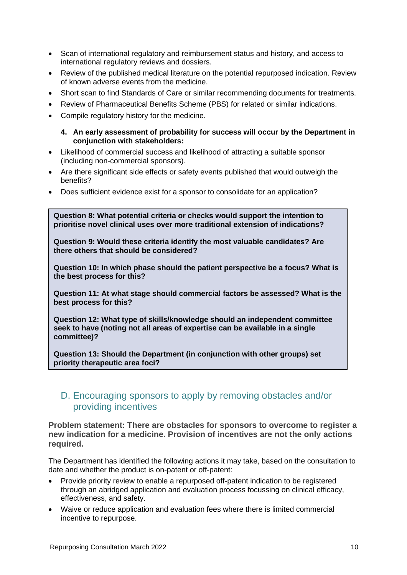- Scan of international regulatory and reimbursement status and history, and access to international regulatory reviews and dossiers.
- Review of the published medical literature on the potential repurposed indication. Review of known adverse events from the medicine.
- Short scan to find Standards of Care or similar recommending documents for treatments.
- Review of Pharmaceutical Benefits Scheme (PBS) for related or similar indications.
- Compile regulatory history for the medicine.

#### **4. An early assessment of probability for success will occur by the Department in conjunction with stakeholders:**

- Likelihood of commercial success and likelihood of attracting a suitable sponsor (including non-commercial sponsors).
- Are there significant side effects or safety events published that would outweigh the benefits?
- Does sufficient evidence exist for a sponsor to consolidate for an application?

**Question 8: What potential criteria or checks would support the intention to prioritise novel clinical uses over more traditional extension of indications?**

**Question 9: Would these criteria identify the most valuable candidates? Are there others that should be considered?**

**Question 10: In which phase should the patient perspective be a focus? What is the best process for this?**

**Question 11: At what stage should commercial factors be assessed? What is the best process for this?**

**Question 12: What type of skills/knowledge should an independent committee seek to have (noting not all areas of expertise can be available in a single committee)?**

**Question 13: Should the Department (in conjunction with other groups) set priority therapeutic area foci?**

### D. Encouraging sponsors to apply by removing obstacles and/or providing incentives

**Problem statement: There are obstacles for sponsors to overcome to register a new indication for a medicine. Provision of incentives are not the only actions required.**

The Department has identified the following actions it may take, based on the consultation to date and whether the product is on-patent or off-patent:

- Provide priority review to enable a repurposed off-patent indication to be registered through an abridged application and evaluation process focussing on clinical efficacy, effectiveness, and safety.
- Waive or reduce application and evaluation fees where there is limited commercial incentive to repurpose.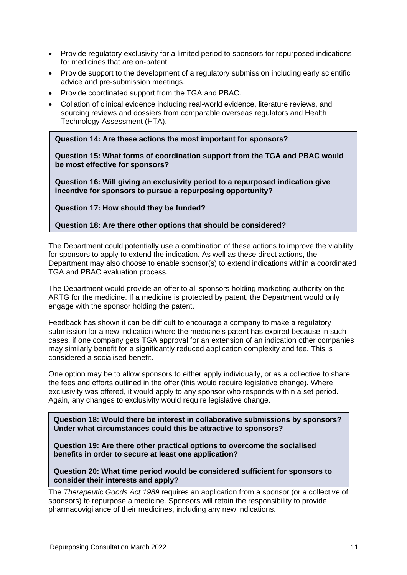- Provide regulatory exclusivity for a limited period to sponsors for repurposed indications for medicines that are on-patent.
- Provide support to the development of a regulatory submission including early scientific advice and pre-submission meetings.
- Provide coordinated support from the TGA and PBAC.
- Collation of clinical evidence including real-world evidence, literature reviews, and sourcing reviews and dossiers from comparable overseas regulators and Health Technology Assessment (HTA).

**Question 14: Are these actions the most important for sponsors?** 

**Question 15: What forms of coordination support from the TGA and PBAC would be most effective for sponsors?**

**Question 16: Will giving an exclusivity period to a repurposed indication give incentive for sponsors to pursue a repurposing opportunity?**

**Question 17: How should they be funded?**

**Question 18: Are there other options that should be considered?**

The Department could potentially use a combination of these actions to improve the viability for sponsors to apply to extend the indication. As well as these direct actions, the Department may also choose to enable sponsor(s) to extend indications within a coordinated TGA and PBAC evaluation process.

The Department would provide an offer to all sponsors holding marketing authority on the ARTG for the medicine. If a medicine is protected by patent, the Department would only engage with the sponsor holding the patent.

Feedback has shown it can be difficult to encourage a company to make a regulatory submission for a new indication where the medicine's patent has expired because in such cases, if one company gets TGA approval for an extension of an indication other companies may similarly benefit for a significantly reduced application complexity and fee. This is considered a socialised benefit.

One option may be to allow sponsors to either apply individually, or as a collective to share the fees and efforts outlined in the offer (this would require legislative change). Where exclusivity was offered, it would apply to any sponsor who responds within a set period. Again, any changes to exclusivity would require legislative change.

**Question 18: Would there be interest in collaborative submissions by sponsors? Under what circumstances could this be attractive to sponsors?**

**Question 19: Are there other practical options to overcome the socialised benefits in order to secure at least one application?**

**Question 20: What time period would be considered sufficient for sponsors to consider their interests and apply?**

The *Therapeutic Goods Act 1989* requires an application from a sponsor (or a collective of sponsors) to repurpose a medicine. Sponsors will retain the responsibility to provide pharmacovigilance of their medicines, including any new indications.